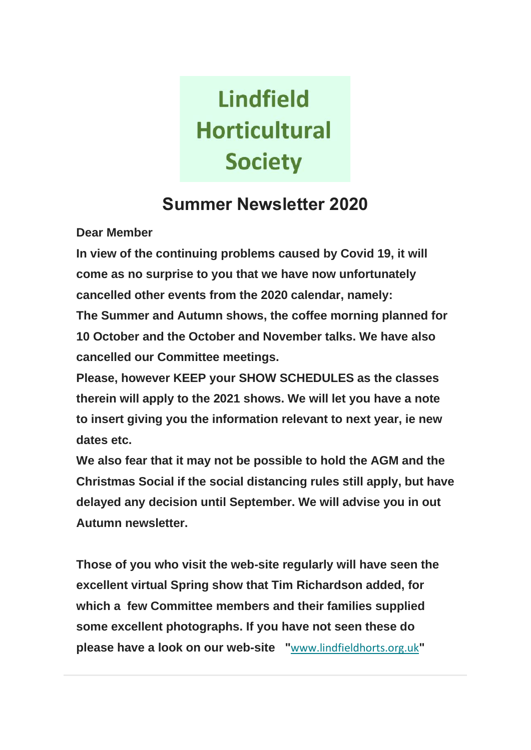# **Lindfield Horticultural Society**

# **Summer Newsletter 2020**

**Dear Member**

**In view of the continuing problems caused by Covid 19, it will come as no surprise to you that we have now unfortunately cancelled other events from the 2020 calendar, namely: The Summer and Autumn shows, the coffee morning planned for 10 October and the October and November talks. We have also cancelled our Committee meetings.**

**Please, however KEEP your SHOW SCHEDULES as the classes therein will apply to the 2021 shows. We will let you have a note to insert giving you the information relevant to next year, ie new dates etc.**

**We also fear that it may not be possible to hold the AGM and the Christmas Social if the social distancing rules still apply, but have delayed any decision until September. We will advise you in out Autumn newsletter.** 

**Those of you who visit the web-site regularly will have seen the excellent virtual Spring show that Tim Richardson added, for which a few Committee members and their families supplied some excellent photographs. If you have not seen these do please have a look on our web-site "**[www.lindfieldhorts.org.uk](https://lindfieldhorts.us4.list-manage.com/track/click?u=61f560053c533236400985bd8&id=4f9e65099c&e=6abaa31b91)**"**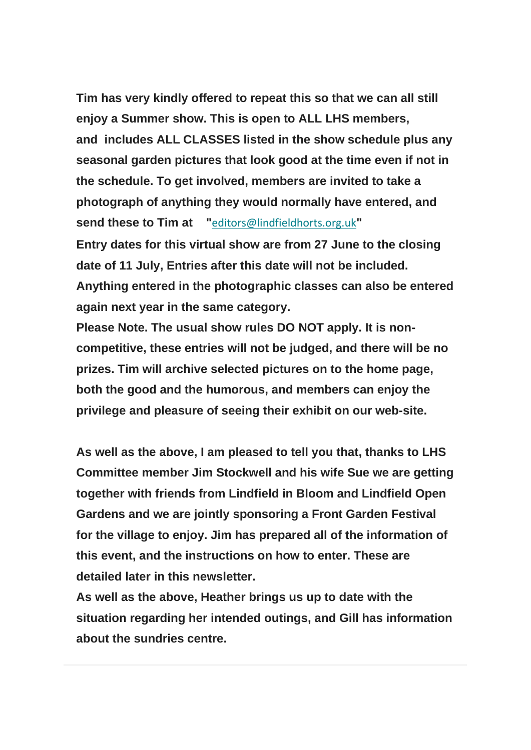**Tim has very kindly offered to repeat this so that we can all still enjoy a Summer show. This is open to ALL LHS members, and includes ALL CLASSES listed in the show schedule plus any seasonal garden pictures that look good at the time even if not in the schedule. To get involved, members are invited to take a photograph of anything they would normally have entered, and send these to Tim at "**[editors@lindfieldhorts.org.uk](mailto:editors@lindfieldhorts.org.uk?subject=Summer%20Show%202020)**" Entry dates for this virtual show are from 27 June to the closing date of 11 July, Entries after this date will not be included. Anything entered in the photographic classes can also be entered again next year in the same category.**

**Please Note. The usual show rules DO NOT apply. It is noncompetitive, these entries will not be judged, and there will be no prizes. Tim will archive selected pictures on to the home page, both the good and the humorous, and members can enjoy the privilege and pleasure of seeing their exhibit on our web-site.**

**As well as the above, I am pleased to tell you that, thanks to LHS Committee member Jim Stockwell and his wife Sue we are getting together with friends from Lindfield in Bloom and Lindfield Open Gardens and we are jointly sponsoring a Front Garden Festival for the village to enjoy. Jim has prepared all of the information of this event, and the instructions on how to enter. These are detailed later in this newsletter.** 

**As well as the above, Heather brings us up to date with the situation regarding her intended outings, and Gill has information about the sundries centre.**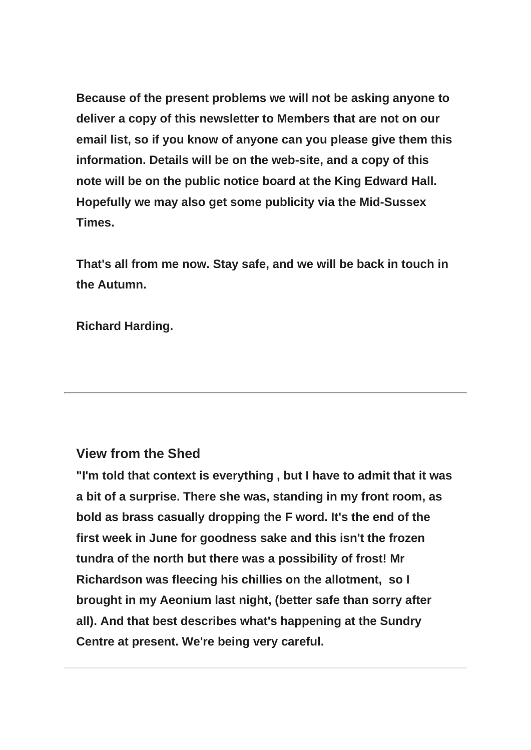**Because of the present problems we will not be asking anyone to deliver a copy of this newsletter to Members that are not on our email list, so if you know of anyone can you please give them this information. Details will be on the web-site, and a copy of this note will be on the public notice board at the King Edward Hall. Hopefully we may also get some publicity via the Mid-Sussex Times.**

**That's all from me now. Stay safe, and we will be back in touch in the Autumn.**

**Richard Harding.**

#### **View from the Shed**

**"I'm told that context is everything , but I have to admit that it was a bit of a surprise. There she was, standing in my front room, as bold as brass casually dropping the F word. It's the end of the first week in June for goodness sake and this isn't the frozen tundra of the north but there was a possibility of frost! Mr Richardson was fleecing his chillies on the allotment, so I brought in my Aeonium last night, (better safe than sorry after all). And that best describes what's happening at the Sundry Centre at present. We're being very careful.**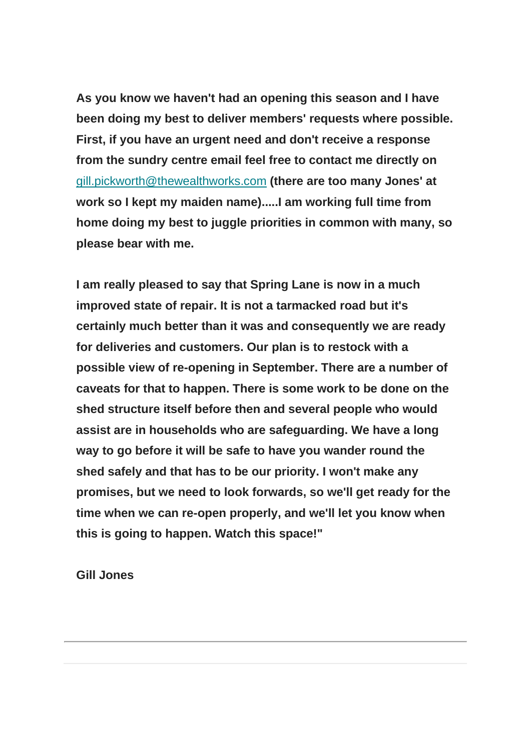**As you know we haven't had an opening this season and I have been doing my best to deliver members' requests where possible. First, if you have an urgent need and don't receive a response from the sundry centre email feel free to contact me directly on**  [gill.pickworth@thewealthworks.com](mailto:gill.pickworth@thewealthworks.com) **(there are too many Jones' at work so I kept my maiden name).....I am working full time from home doing my best to juggle priorities in common with many, so please bear with me.**

**I am really pleased to say that Spring Lane is now in a much improved state of repair. It is not a tarmacked road but it's certainly much better than it was and consequently we are ready for deliveries and customers. Our plan is to restock with a possible view of re-opening in September. There are a number of caveats for that to happen. There is some work to be done on the shed structure itself before then and several people who would assist are in households who are safeguarding. We have a long way to go before it will be safe to have you wander round the shed safely and that has to be our priority. I won't make any promises, but we need to look forwards, so we'll get ready for the time when we can re-open properly, and we'll let you know when this is going to happen. Watch this space!"**

**Gill Jones**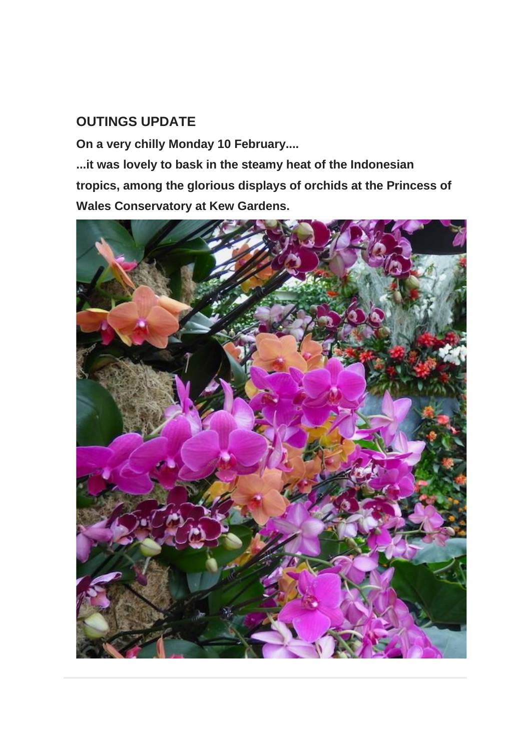### **OUTINGS UPDATE**

**On a very chilly Monday 10 February....**

**...it was lovely to bask in the steamy heat of the Indonesian tropics, among the glorious displays of orchids at the Princess of Wales Conservatory at Kew Gardens.**

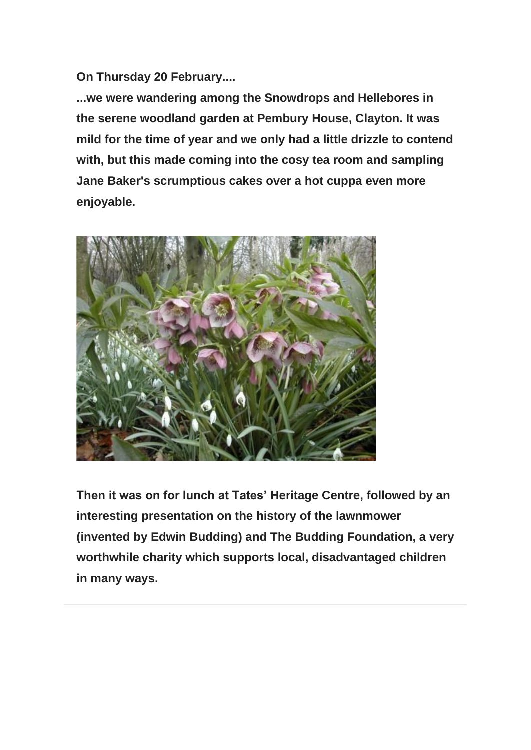**On Thursday 20 February....**

**...we were wandering among the Snowdrops and Hellebores in the serene woodland garden at Pembury House, Clayton. It was mild for the time of year and we only had a little drizzle to contend with, but this made coming into the cosy tea room and sampling Jane Baker's scrumptious cakes over a hot cuppa even more enjoyable.**



**Then it was on for lunch at Tates' Heritage Centre, followed by an interesting presentation on the history of the lawnmower (invented by Edwin Budding) and The Budding Foundation, a very worthwhile charity which supports local, disadvantaged children in many ways.**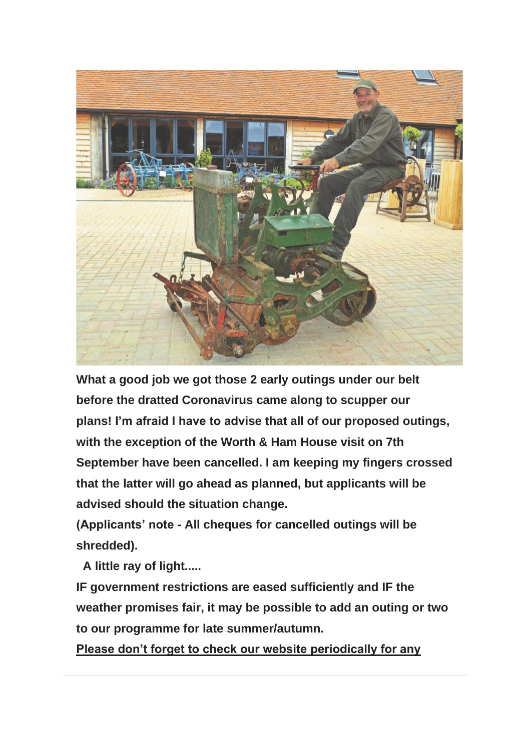

**What a good job we got those 2 early outings under our belt before the dratted Coronavirus came along to scupper our plans! I'm afraid I have to advise that all of our proposed outings, with the exception of the Worth & Ham House visit on 7th September have been cancelled. I am keeping my fingers crossed that the latter will go ahead as planned, but applicants will be advised should the situation change.**

**(Applicants' note - All cheques for cancelled outings will be shredded).**

**A little ray of light.....**

**IF government restrictions are eased sufficiently and IF the weather promises fair, it may be possible to add an outing or two to our programme for late summer/autumn.**

**Please don't forget to check our website periodically for any**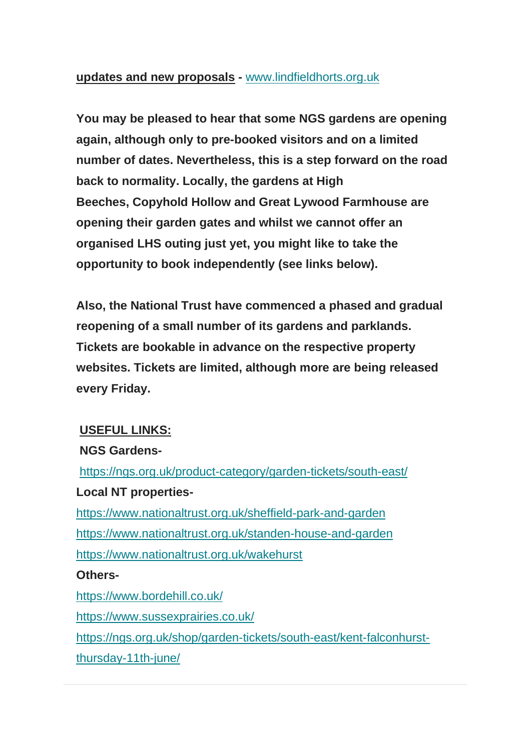#### **updates and new proposals -** [www.lindfieldhorts.org.uk](https://lindfieldhorts.us4.list-manage.com/track/click?u=61f560053c533236400985bd8&id=a3770daf5f&e=6abaa31b91)

**You may be pleased to hear that some NGS gardens are opening again, although only to pre-booked visitors and on a limited number of dates. Nevertheless, this is a step forward on the road back to normality. Locally, the gardens at High Beeches, Copyhold Hollow and Great Lywood Farmhouse are opening their garden gates and whilst we cannot offer an organised LHS outing just yet, you might like to take the opportunity to book independently (see links below).**

**Also, the National Trust have commenced a phased and gradual reopening of a small number of its gardens and parklands. Tickets are bookable in advance on the respective property websites. Tickets are limited, although more are being released every Friday.**

#### **USEFUL LINKS:**

#### **NGS Gardens-**

[https://ngs.org.uk/product-category/garden-tickets/south-east/](https://lindfieldhorts.us4.list-manage.com/track/click?u=61f560053c533236400985bd8&id=5b83d7723f&e=6abaa31b91) **Local NT properties**[https://www.nationaltrust.org.uk/sheffield-park-and-garden](https://lindfieldhorts.us4.list-manage.com/track/click?u=61f560053c533236400985bd8&id=0d62d01647&e=6abaa31b91)

[https://www.nationaltr](https://lindfieldhorts.us4.list-manage.com/track/click?u=61f560053c533236400985bd8&id=22098c9dcf&e=6abaa31b91)[ust.org.uk/standen-house-and-garden](https://lindfieldhorts.us4.list-manage.com/track/click?u=61f560053c533236400985bd8&id=5956e02ec7&e=6abaa31b91) [https://www.nationaltrust.org.uk/wakehurst](https://lindfieldhorts.us4.list-manage.com/track/click?u=61f560053c533236400985bd8&id=1f4f541166&e=6abaa31b91)

#### **Others-**

[https://www.bordehill.co.uk/](https://lindfieldhorts.us4.list-manage.com/track/click?u=61f560053c533236400985bd8&id=e642af1f2d&e=6abaa31b91) [https://www.sussexprairies.co.uk/](https://lindfieldhorts.us4.list-manage.com/track/click?u=61f560053c533236400985bd8&id=c0e4816e42&e=6abaa31b91) [https://ngs.org.uk/shop/garden-tickets/south-east/kent-falconhurst](https://lindfieldhorts.us4.list-manage.com/track/click?u=61f560053c533236400985bd8&id=2120746018&e=6abaa31b91)[thursday-11th-june/](https://lindfieldhorts.us4.list-manage.com/track/click?u=61f560053c533236400985bd8&id=2120746018&e=6abaa31b91)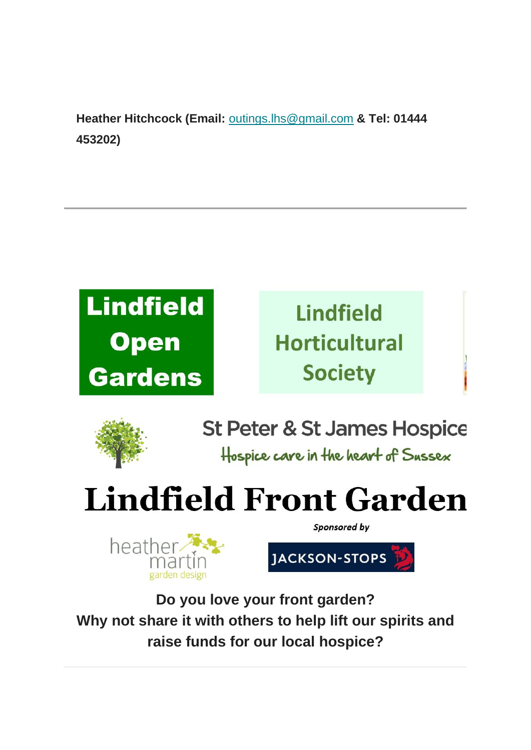**Heather Hitchcock (Email:** [outings.lhs@gmail.com](mailto:outings.lhs@gmail.com) **& Tel: 01444 453202)**





**St Peter & St James Hospice** Hospice care in the heart of Sussex

# **Lindfield Front Garden**



JACKSON-STOPS

Sponsored by

**Do you love your front garden? Why not share it with others to help lift our spirits and raise funds for our local hospice?**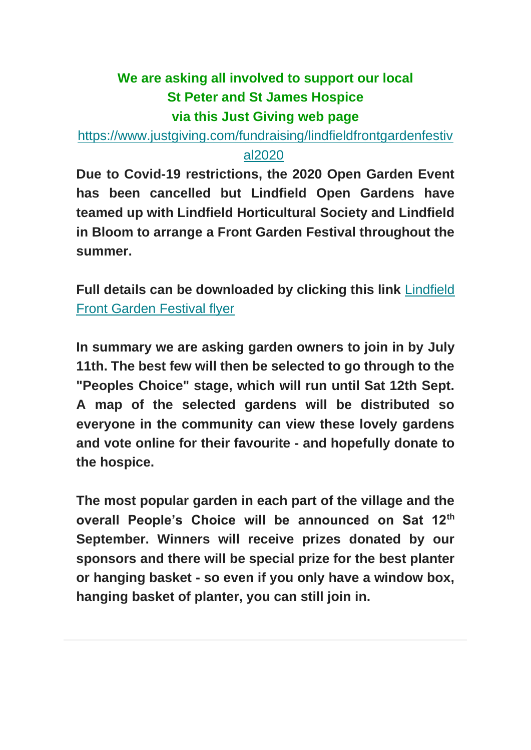## **We are asking all involved to support our local St Peter and St James Hospice via this Just Giving web page**

[https://www.justgiving.com/fundraising/lindfieldfrontgardenfestiv](https://lindfieldhorts.us4.list-manage.com/track/click?u=61f560053c533236400985bd8&id=273fcb5db6&e=6abaa31b91)

#### [al2020](https://lindfieldhorts.us4.list-manage.com/track/click?u=61f560053c533236400985bd8&id=273fcb5db6&e=6abaa31b91)

**Due to Covid-19 restrictions, the 2020 Open Garden Event has been cancelled but Lindfield Open Gardens have teamed up with Lindfield Horticultural Society and Lindfield in Bloom to arrange a Front Garden Festival throughout the summer.**

**Full details can be downloaded by clicking this link** [Lindfield](https://lindfieldhorts.us4.list-manage.com/track/click?u=61f560053c533236400985bd8&id=535fedc824&e=6abaa31b91)  [Front Garden Festival flyer](https://lindfieldhorts.us4.list-manage.com/track/click?u=61f560053c533236400985bd8&id=535fedc824&e=6abaa31b91)

**In summary we are asking garden owners to join in by July 11th. The best few will then be selected to go through to the "Peoples Choice" stage, which will run until Sat 12th Sept. A map of the selected gardens will be distributed so everyone in the community can view these lovely gardens and vote online for their favourite - and hopefully donate to the hospice.**

**The most popular garden in each part of the village and the overall People's Choice will be announced on Sat 12th September. Winners will receive prizes donated by our sponsors and there will be special prize for the best planter or hanging basket - so even if you only have a window box, hanging basket of planter, you can still join in.**